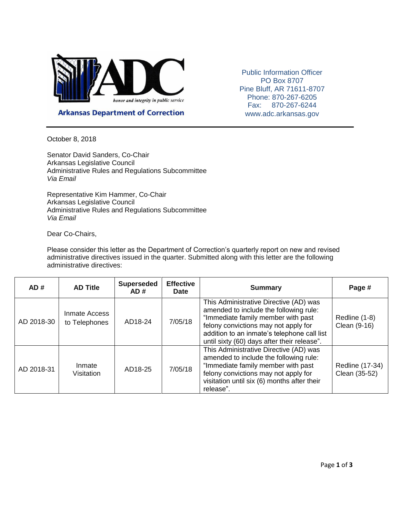

Public Information Officer PO Box 8707 Pine Bluff, AR 71611-8707 Phone: 870-267-6205 Fax: 870-267-6244 www.adc.arkansas.gov

**Arkansas Department of Correction** 

October 8, 2018

Senator David Sanders, Co-Chair Arkansas Legislative Council Administrative Rules and Regulations Subcommittee *Via Email*

Representative Kim Hammer, Co-Chair Arkansas Legislative Council Administrative Rules and Regulations Subcommittee *Via Email*

Dear Co-Chairs,

Please consider this letter as the Department of Correction's quarterly report on new and revised administrative directives issued in the quarter. Submitted along with this letter are the following administrative directives:

| AD#        | <b>AD Title</b>                | <b>Superseded</b><br>AD# | <b>Effective</b><br><b>Date</b> | <b>Summary</b>                                                                                                                                                                                                                                               | Page #                           |
|------------|--------------------------------|--------------------------|---------------------------------|--------------------------------------------------------------------------------------------------------------------------------------------------------------------------------------------------------------------------------------------------------------|----------------------------------|
| AD 2018-30 | Inmate Access<br>to Telephones | AD18-24                  | 7/05/18                         | This Administrative Directive (AD) was<br>amended to include the following rule:<br>"Immediate family member with past<br>felony convictions may not apply for<br>addition to an inmate's telephone call list<br>until sixty (60) days after their release". | Redline (1-8)<br>Clean (9-16)    |
| AD 2018-31 | Inmate<br>Visitation           | AD18-25                  | 7/05/18                         | This Administrative Directive (AD) was<br>amended to include the following rule:<br>"Immediate family member with past<br>felony convictions may not apply for<br>visitation until six (6) months after their<br>release".                                   | Redline (17-34)<br>Clean (35-52) |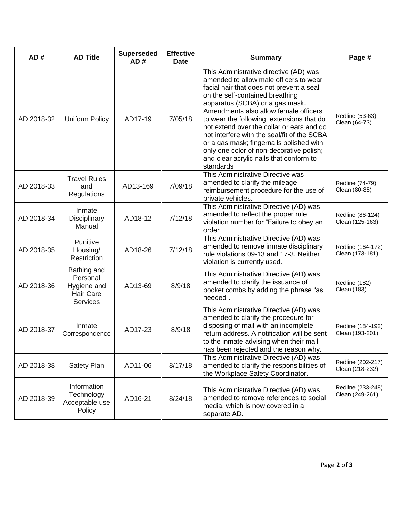| AD#        | <b>AD Title</b>                                                               | <b>Superseded</b><br>AD# | <b>Effective</b><br><b>Date</b> | <b>Summary</b>                                                                                                                                                                                                                                                                                                                                                                                                                                                                                                                       | Page #                               |
|------------|-------------------------------------------------------------------------------|--------------------------|---------------------------------|--------------------------------------------------------------------------------------------------------------------------------------------------------------------------------------------------------------------------------------------------------------------------------------------------------------------------------------------------------------------------------------------------------------------------------------------------------------------------------------------------------------------------------------|--------------------------------------|
| AD 2018-32 | <b>Uniform Policy</b>                                                         | AD17-19                  | 7/05/18                         | This Administrative directive (AD) was<br>amended to allow male officers to wear<br>facial hair that does not prevent a seal<br>on the self-contained breathing<br>apparatus (SCBA) or a gas mask.<br>Amendments also allow female officers<br>to wear the following: extensions that do<br>not extend over the collar or ears and do<br>not interfere with the seal/fit of the SCBA<br>or a gas mask; fingernails polished with<br>only one color of non-decorative polish;<br>and clear acrylic nails that conform to<br>standards | Redline (53-63)<br>Clean (64-73)     |
| AD 2018-33 | <b>Travel Rules</b><br>and<br>Regulations                                     | AD13-169                 | 7/09/18                         | This Administrative Directive was<br>amended to clarify the mileage<br>reimbursement procedure for the use of<br>private vehicles.                                                                                                                                                                                                                                                                                                                                                                                                   | Redline (74-79)<br>Clean (80-85)     |
| AD 2018-34 | Inmate<br>Disciplinary<br>Manual                                              | AD18-12                  | 7/12/18                         | This Administrative Directive (AD) was<br>amended to reflect the proper rule<br>violation number for "Failure to obey an<br>order".                                                                                                                                                                                                                                                                                                                                                                                                  | Redline (86-124)<br>Clean (125-163)  |
| AD 2018-35 | Punitive<br>Housing/<br>Restriction                                           | AD18-26                  | 7/12/18                         | This Administrative Directive (AD) was<br>amended to remove inmate disciplinary<br>rule violations 09-13 and 17-3. Neither<br>violation is currently used.                                                                                                                                                                                                                                                                                                                                                                           | Redline (164-172)<br>Clean (173-181) |
| AD 2018-36 | Bathing and<br>Personal<br>Hygiene and<br><b>Hair Care</b><br><b>Services</b> | AD13-69                  | 8/9/18                          | This Administrative Directive (AD) was<br>amended to clarify the issuance of<br>pocket combs by adding the phrase "as<br>needed".                                                                                                                                                                                                                                                                                                                                                                                                    | Redline (182)<br>Clean (183)         |
| AD 2018-37 | Inmate<br>Correspondence                                                      | AD17-23                  | 8/9/18                          | This Administrative Directive (AD) was<br>amended to clarify the procedure for<br>disposing of mail with an incomplete<br>return address. A notification will be sent<br>to the inmate advising when their mail<br>has been rejected and the reason why.                                                                                                                                                                                                                                                                             | Redline (184-192)<br>Clean (193-201) |
| AD 2018-38 | Safety Plan                                                                   | AD11-06                  | 8/17/18                         | This Administrative Directive (AD) was<br>amended to clarify the responsibilities of<br>the Workplace Safety Coordinator.                                                                                                                                                                                                                                                                                                                                                                                                            | Redline (202-217)<br>Clean (218-232) |
| AD 2018-39 | Information<br>Technology<br>Acceptable use<br>Policy                         | AD16-21                  | 8/24/18                         | This Administrative Directive (AD) was<br>amended to remove references to social<br>media, which is now covered in a<br>separate AD.                                                                                                                                                                                                                                                                                                                                                                                                 | Redline (233-248)<br>Clean (249-261) |